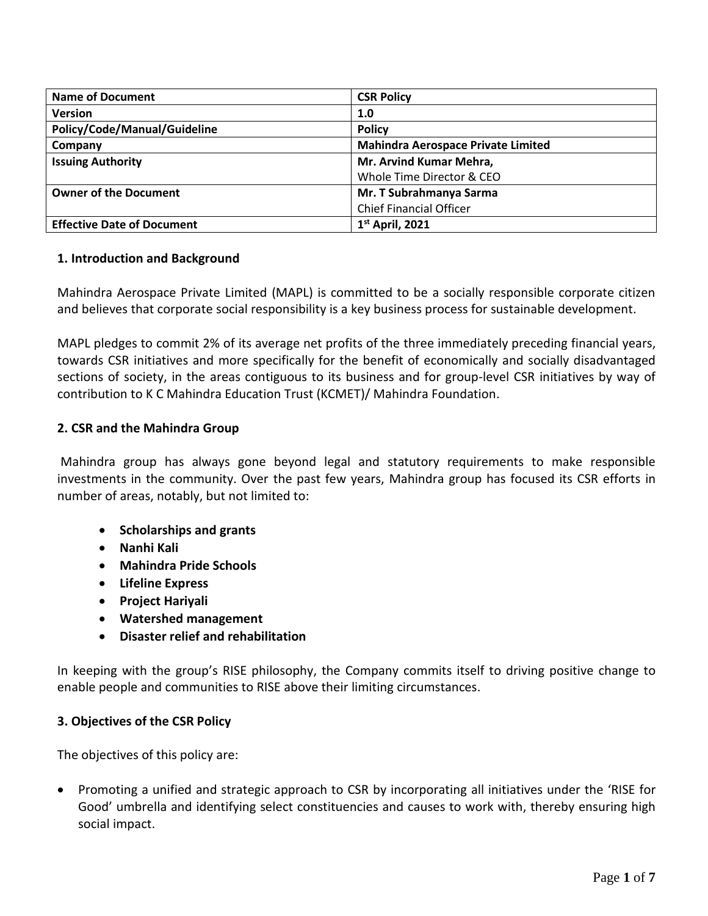| <b>Name of Document</b>           | <b>CSR Policy</b>                         |
|-----------------------------------|-------------------------------------------|
| <b>Version</b>                    | 1.0                                       |
| Policy/Code/Manual/Guideline      | <b>Policy</b>                             |
| Company                           | <b>Mahindra Aerospace Private Limited</b> |
| <b>Issuing Authority</b>          | Mr. Arvind Kumar Mehra,                   |
|                                   | Whole Time Director & CEO                 |
| <b>Owner of the Document</b>      | Mr. T Subrahmanya Sarma                   |
|                                   | <b>Chief Financial Officer</b>            |
| <b>Effective Date of Document</b> | $1st$ April, 2021                         |

### **1. Introduction and Background**

Mahindra Aerospace Private Limited (MAPL) is committed to be a socially responsible corporate citizen and believes that corporate social responsibility is a key business process for sustainable development.

MAPL pledges to commit 2% of its average net profits of the three immediately preceding financial years, towards CSR initiatives and more specifically for the benefit of economically and socially disadvantaged sections of society, in the areas contiguous to its business and for group-level CSR initiatives by way of contribution to K C Mahindra Education Trust (KCMET)/ Mahindra Foundation.

### **2. CSR and the Mahindra Group**

Mahindra group has always gone beyond legal and statutory requirements to make responsible investments in the community. Over the past few years, Mahindra group has focused its CSR efforts in number of areas, notably, but not limited to:

- **Scholarships and grants**
- **Nanhi Kali**
- **Mahindra Pride Schools**
- **Lifeline Express**
- **Project Hariyali**
- **Watershed management**
- **Disaster relief and rehabilitation**

In keeping with the group's RISE philosophy, the Company commits itself to driving positive change to enable people and communities to RISE above their limiting circumstances.

### **3. Objectives of the CSR Policy**

The objectives of this policy are:

• Promoting a unified and strategic approach to CSR by incorporating all initiatives under the 'RISE for Good' umbrella and identifying select constituencies and causes to work with, thereby ensuring high social impact.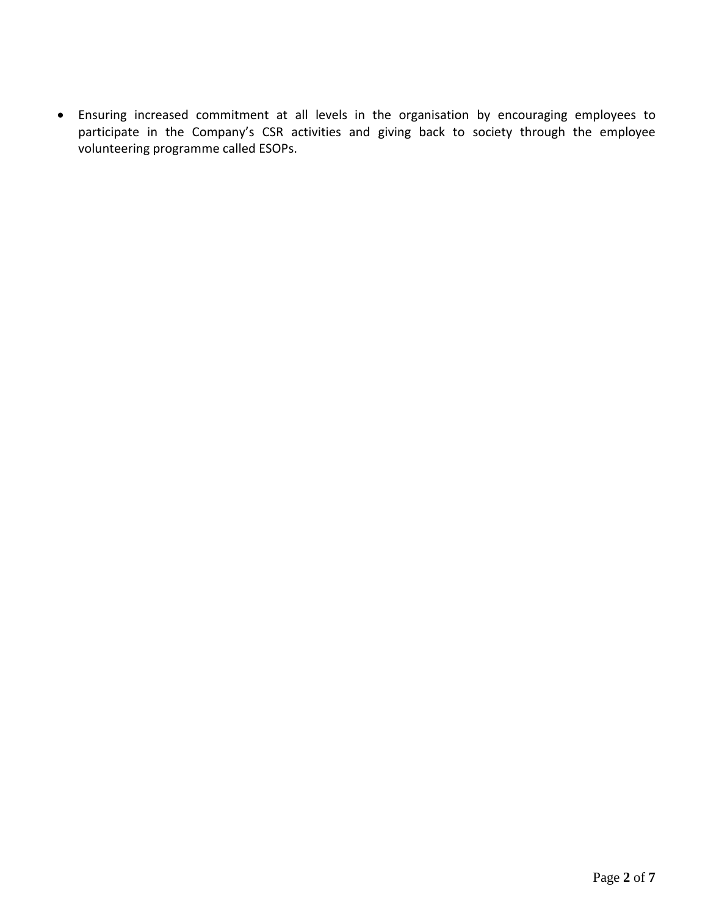• Ensuring increased commitment at all levels in the organisation by encouraging employees to participate in the Company's CSR activities and giving back to society through the employee volunteering programme called ESOPs.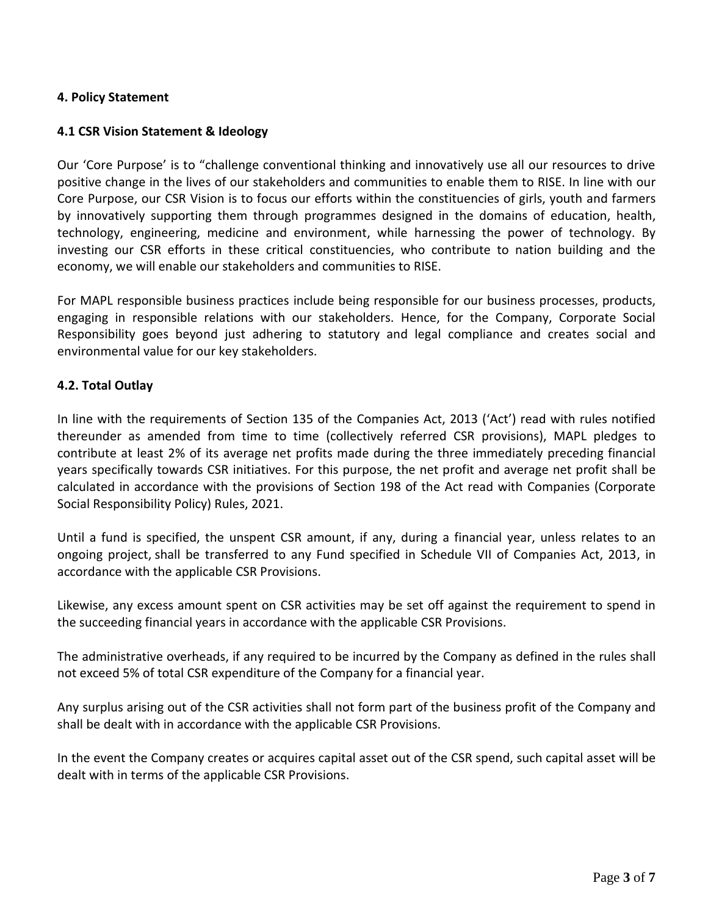### **4. Policy Statement**

## **4.1 CSR Vision Statement & Ideology**

Our 'Core Purpose' is to "challenge conventional thinking and innovatively use all our resources to drive positive change in the lives of our stakeholders and communities to enable them to RISE. In line with our Core Purpose, our CSR Vision is to focus our efforts within the constituencies of girls, youth and farmers by innovatively supporting them through programmes designed in the domains of education, health, technology, engineering, medicine and environment, while harnessing the power of technology. By investing our CSR efforts in these critical constituencies, who contribute to nation building and the economy, we will enable our stakeholders and communities to RISE.

For MAPL responsible business practices include being responsible for our business processes, products, engaging in responsible relations with our stakeholders. Hence, for the Company, Corporate Social Responsibility goes beyond just adhering to statutory and legal compliance and creates social and environmental value for our key stakeholders.

## **4.2. Total Outlay**

In line with the requirements of Section 135 of the Companies Act, 2013 ('Act') read with rules notified thereunder as amended from time to time (collectively referred CSR provisions), MAPL pledges to contribute at least 2% of its average net profits made during the three immediately preceding financial years specifically towards CSR initiatives. For this purpose, the net profit and average net profit shall be calculated in accordance with the provisions of Section 198 of the Act read with Companies (Corporate Social Responsibility Policy) Rules, 2021.

Until a fund is specified, the unspent CSR amount, if any, during a financial year, unless relates to an ongoing project, shall be transferred to any Fund specified in Schedule VII of Companies Act, 2013, in accordance with the applicable CSR Provisions.

Likewise, any excess amount spent on CSR activities may be set off against the requirement to spend in the succeeding financial years in accordance with the applicable CSR Provisions.

The administrative overheads, if any required to be incurred by the Company as defined in the rules shall not exceed 5% of total CSR expenditure of the Company for a financial year.

Any surplus arising out of the CSR activities shall not form part of the business profit of the Company and shall be dealt with in accordance with the applicable CSR Provisions.

In the event the Company creates or acquires capital asset out of the CSR spend, such capital asset will be dealt with in terms of the applicable CSR Provisions.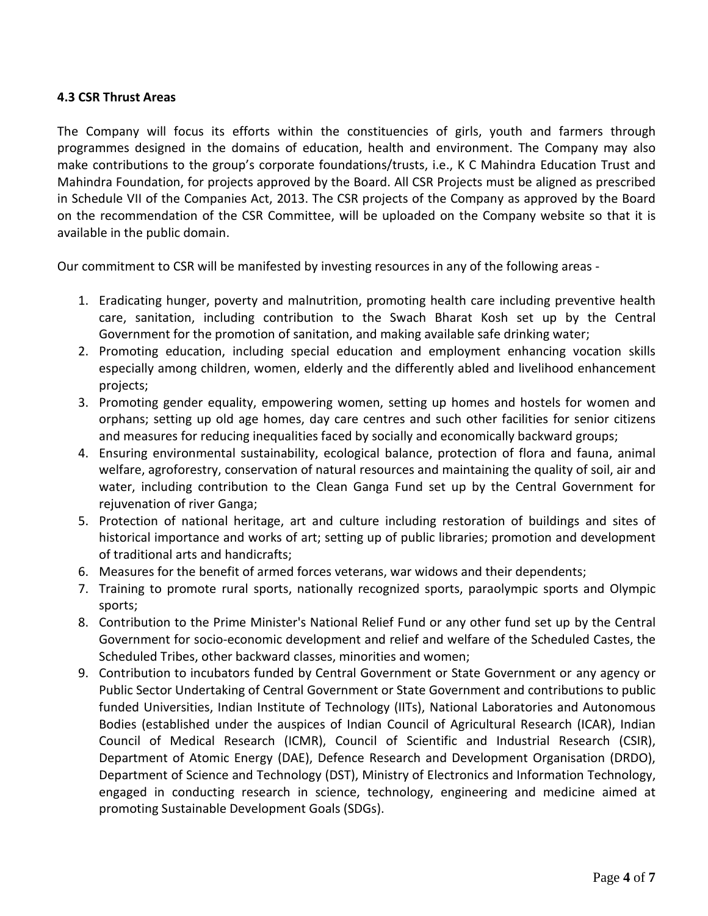## **4.3 CSR Thrust Areas**

The Company will focus its efforts within the constituencies of girls, youth and farmers through programmes designed in the domains of education, health and environment. The Company may also make contributions to the group's corporate foundations/trusts, i.e., K C Mahindra Education Trust and Mahindra Foundation, for projects approved by the Board. All CSR Projects must be aligned as prescribed in Schedule VII of the Companies Act, 2013. The CSR projects of the Company as approved by the Board on the recommendation of the CSR Committee, will be uploaded on the Company website so that it is available in the public domain.

Our commitment to CSR will be manifested by investing resources in any of the following areas -

- 1. Eradicating hunger, poverty and malnutrition, promoting health care including preventive health care, sanitation, including contribution to the Swach Bharat Kosh set up by the Central Government for the promotion of sanitation, and making available safe drinking water;
- 2. Promoting education, including special education and employment enhancing vocation skills especially among children, women, elderly and the differently abled and livelihood enhancement projects;
- 3. Promoting gender equality, empowering women, setting up homes and hostels for women and orphans; setting up old age homes, day care centres and such other facilities for senior citizens and measures for reducing inequalities faced by socially and economically backward groups;
- 4. Ensuring environmental sustainability, ecological balance, protection of flora and fauna, animal welfare, agroforestry, conservation of natural resources and maintaining the quality of soil, air and water, including contribution to the Clean Ganga Fund set up by the Central Government for rejuvenation of river Ganga;
- 5. Protection of national heritage, art and culture including restoration of buildings and sites of historical importance and works of art; setting up of public libraries; promotion and development of traditional arts and handicrafts;
- 6. Measures for the benefit of armed forces veterans, war widows and their dependents;
- 7. Training to promote rural sports, nationally recognized sports, paraolympic sports and Olympic sports;
- 8. Contribution to the Prime Minister's National Relief Fund or any other fund set up by the Central Government for socio-economic development and relief and welfare of the Scheduled Castes, the Scheduled Tribes, other backward classes, minorities and women;
- 9. Contribution to incubators funded by Central Government or State Government or any agency or Public Sector Undertaking of Central Government or State Government and contributions to public funded Universities, Indian Institute of Technology (IITs), National Laboratories and Autonomous Bodies (established under the auspices of Indian Council of Agricultural Research (ICAR), Indian Council of Medical Research (ICMR), Council of Scientific and Industrial Research (CSIR), Department of Atomic Energy (DAE), Defence Research and Development Organisation (DRDO), Department of Science and Technology (DST), Ministry of Electronics and Information Technology, engaged in conducting research in science, technology, engineering and medicine aimed at promoting Sustainable Development Goals (SDGs).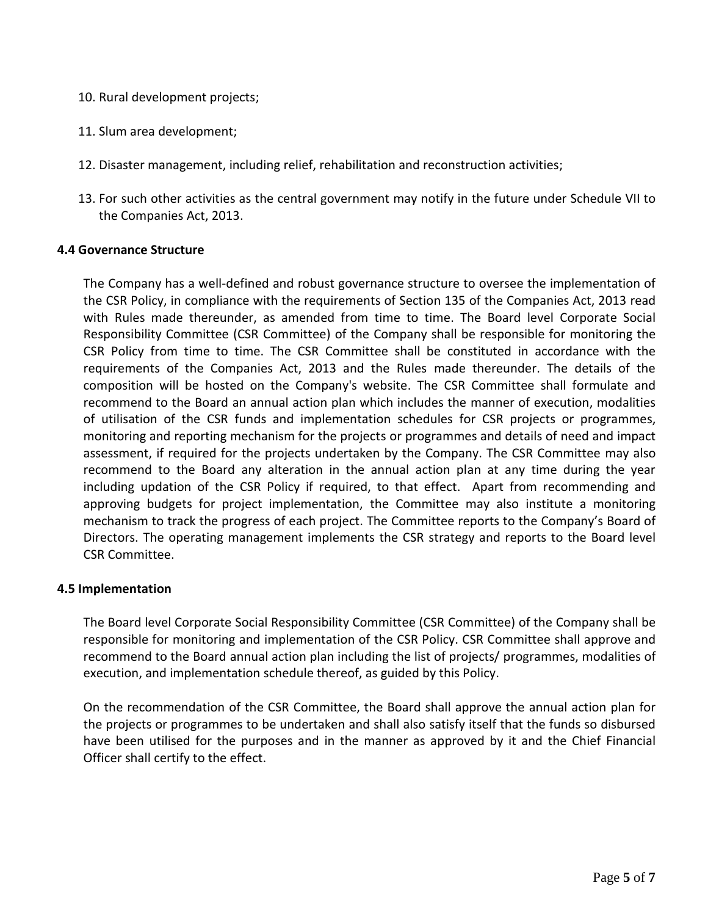- 10. Rural development projects;
- 11. Slum area development;
- 12. Disaster management, including relief, rehabilitation and reconstruction activities;
- 13. For such other activities as the central government may notify in the future under Schedule VII to the Companies Act, 2013.

#### **4.4 Governance Structure**

The Company has a well-defined and robust governance structure to oversee the implementation of the CSR Policy, in compliance with the requirements of Section 135 of the Companies Act, 2013 read with Rules made thereunder, as amended from time to time. The Board level Corporate Social Responsibility Committee (CSR Committee) of the Company shall be responsible for monitoring the CSR Policy from time to time. The CSR Committee shall be constituted in accordance with the requirements of the Companies Act, 2013 and the Rules made thereunder. The details of the composition will be hosted on the Company's website. The CSR Committee shall formulate and recommend to the Board an annual action plan which includes the manner of execution, modalities of utilisation of the CSR funds and implementation schedules for CSR projects or programmes, monitoring and reporting mechanism for the projects or programmes and details of need and impact assessment, if required for the projects undertaken by the Company. The CSR Committee may also recommend to the Board any alteration in the annual action plan at any time during the year including updation of the CSR Policy if required, to that effect. Apart from recommending and approving budgets for project implementation, the Committee may also institute a monitoring mechanism to track the progress of each project. The Committee reports to the Company's Board of Directors. The operating management implements the CSR strategy and reports to the Board level CSR Committee.

### **4.5 Implementation**

The Board level Corporate Social Responsibility Committee (CSR Committee) of the Company shall be responsible for monitoring and implementation of the CSR Policy. CSR Committee shall approve and recommend to the Board annual action plan including the list of projects/ programmes, modalities of execution, and implementation schedule thereof, as guided by this Policy.

On the recommendation of the CSR Committee, the Board shall approve the annual action plan for the projects or programmes to be undertaken and shall also satisfy itself that the funds so disbursed have been utilised for the purposes and in the manner as approved by it and the Chief Financial Officer shall certify to the effect.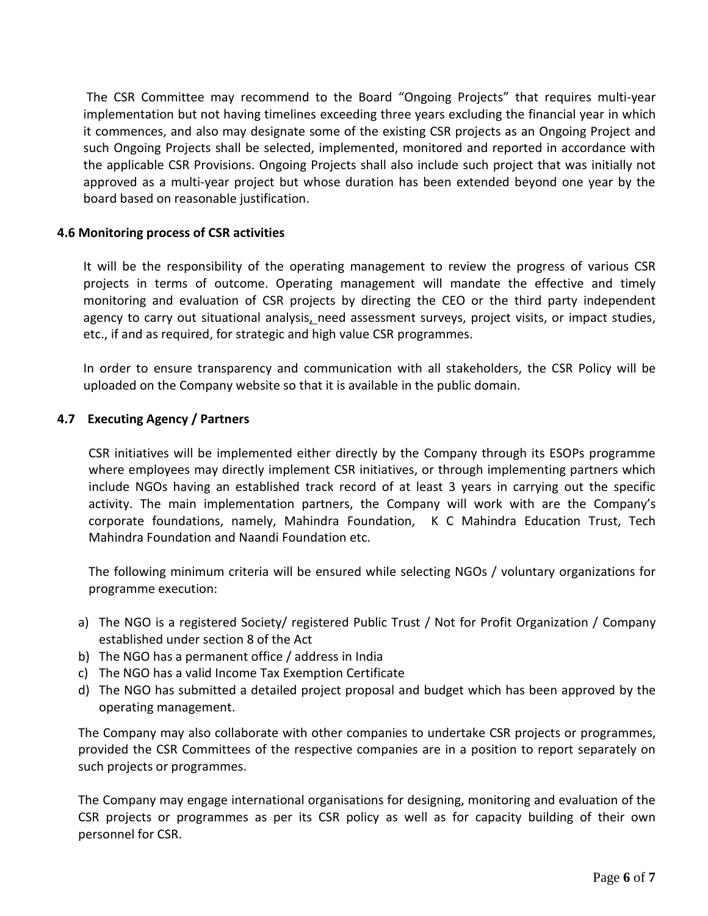The CSR Committee may recommend to the Board "Ongoing Projects" that requires multi-year implementation but not having timelines exceeding three years excluding the financial year in which it commences, and also may designate some of the existing CSR projects as an Ongoing Project and such Ongoing Projects shall be selected, implemented, monitored and reported in accordance with the applicable CSR Provisions. Ongoing Projects shall also include such project that was initially not approved as a multi-year project but whose duration has been extended beyond one year by the board based on reasonable justification.

#### **4.6 Monitoring process of CSR activities**

It will be the responsibility of the operating management to review the progress of various CSR projects in terms of outcome. Operating management will mandate the effective and timely monitoring and evaluation of CSR projects by directing the CEO or the third party independent agency to carry out situational analysis, need assessment surveys, project visits, or impact studies, etc., if and as required, for strategic and high value CSR programmes.

In order to ensure transparency and communication with all stakeholders, the CSR Policy will be uploaded on the Company website so that it is available in the public domain.

#### **4.7 Executing Agency / Partners**

CSR initiatives will be implemented either directly by the Company through its ESOPs programme where employees may directly implement CSR initiatives, or through implementing partners which include NGOs having an established track record of at least 3 years in carrying out the specific activity. The main implementation partners, the Company will work with are the Company's corporate foundations, namely, Mahindra Foundation, K C Mahindra Education Trust, Tech Mahindra Foundation and Naandi Foundation etc.

The following minimum criteria will be ensured while selecting NGOs / voluntary organizations for programme execution:

- a) The NGO is a registered Society/ registered Public Trust / Not for Profit Organization / Company established under section 8 of the Act
- b) The NGO has a permanent office / address in India
- c) The NGO has a valid Income Tax Exemption Certificate
- d) The NGO has submitted a detailed project proposal and budget which has been approved by the operating management.

The Company may also collaborate with other companies to undertake CSR projects or programmes, provided the CSR Committees of the respective companies are in a position to report separately on such projects or programmes.

The Company may engage international organisations for designing, monitoring and evaluation of the CSR projects or programmes as per its CSR policy as well as for capacity building of their own personnel for CSR.